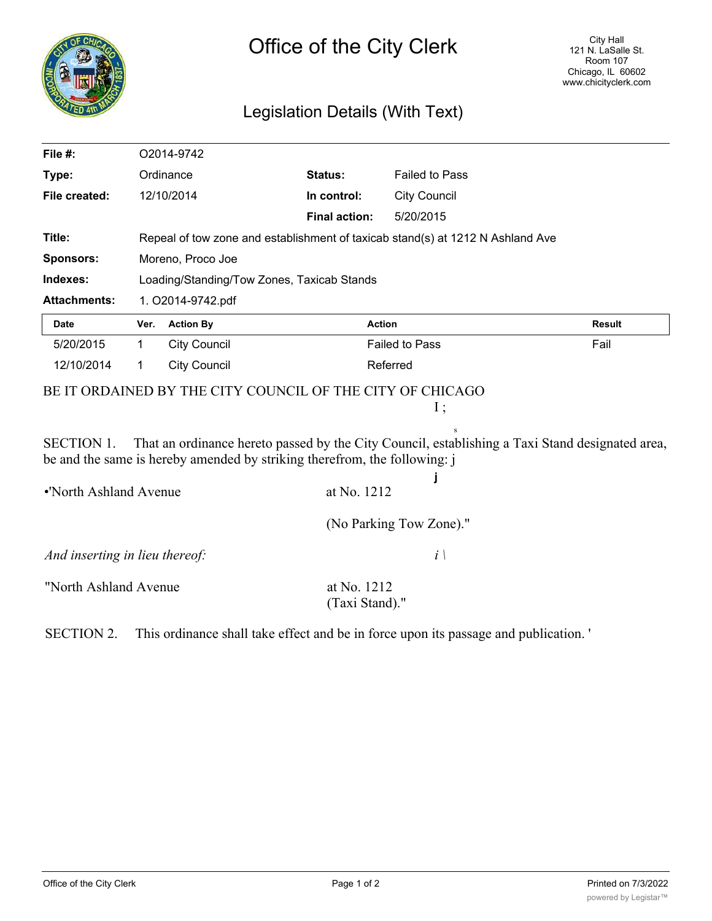

## Legislation Details (With Text)

| File #:                        |             | O2014-9742                                                                     |                                                                           |                         |                                                                                                 |  |
|--------------------------------|-------------|--------------------------------------------------------------------------------|---------------------------------------------------------------------------|-------------------------|-------------------------------------------------------------------------------------------------|--|
| Type:                          | Ordinance   |                                                                                | Status:                                                                   | <b>Failed to Pass</b>   |                                                                                                 |  |
| File created:                  |             | 12/10/2014                                                                     | In control:                                                               | <b>City Council</b>     |                                                                                                 |  |
|                                |             |                                                                                | <b>Final action:</b>                                                      | 5/20/2015               |                                                                                                 |  |
| Title:                         |             | Repeal of tow zone and establishment of taxicab stand(s) at 1212 N Ashland Ave |                                                                           |                         |                                                                                                 |  |
| <b>Sponsors:</b>               |             | Moreno, Proco Joe                                                              |                                                                           |                         |                                                                                                 |  |
| Indexes:                       |             | Loading/Standing/Tow Zones, Taxicab Stands                                     |                                                                           |                         |                                                                                                 |  |
| <b>Attachments:</b>            |             | 1. O2014-9742.pdf                                                              |                                                                           |                         |                                                                                                 |  |
| <b>Date</b>                    | Ver.        | <b>Action By</b>                                                               | <b>Action</b>                                                             |                         | <b>Result</b>                                                                                   |  |
| 5/20/2015                      | $\mathbf 1$ | <b>City Council</b>                                                            |                                                                           | <b>Failed to Pass</b>   | Fail                                                                                            |  |
| 12/10/2014                     | 1           | <b>City Council</b>                                                            | Referred                                                                  |                         |                                                                                                 |  |
|                                |             |                                                                                | BE IT ORDAINED BY THE CITY COUNCIL OF THE CITY OF CHICAGO                 | I;                      |                                                                                                 |  |
| <b>SECTION 1.</b>              |             |                                                                                | be and the same is hereby amended by striking therefrom, the following: j |                         | That an ordinance hereto passed by the City Council, establishing a Taxi Stand designated area, |  |
| •'North Ashland Avenue         |             |                                                                                | at No. 1212                                                               |                         |                                                                                                 |  |
|                                |             |                                                                                |                                                                           | (No Parking Tow Zone)." |                                                                                                 |  |
| And inserting in lieu thereof: |             |                                                                                |                                                                           | $i \setminus$           |                                                                                                 |  |
| "North Ashland Avenue          |             |                                                                                | at No. 1212<br>(Taxi Stand)."                                             |                         |                                                                                                 |  |

SECTION 2. This ordinance shall take effect and be in force upon its passage and publication. '